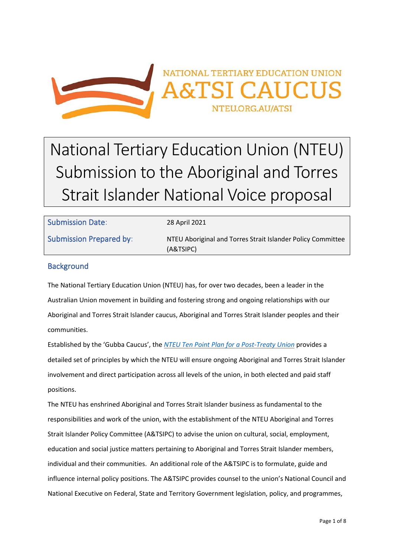

# National Tertiary Education Union (NTEU) Submission to the Aboriginal and Torres Strait Islander National Voice proposal

| <b>Submission Date:</b>        | 28 April 2021                                                            |
|--------------------------------|--------------------------------------------------------------------------|
| <b>Submission Prepared by:</b> | NTEU Aboriginal and Torres Strait Islander Policy Committee<br>(A&TSIPC) |

# **Background**

The National Tertiary Education Union (NTEU) has, for over two decades, been a leader in the Australian Union movement in building and fostering strong and ongoing relationships with our Aboriginal and Torres Strait Islander caucus, Aboriginal and Torres Strait Islander peoples and their communities.

Established by the 'Gubba Caucus', the *[NTEU Ten Point Plan for a Post-Treaty Union](http://www.nteu.org.au/atsi/publications/10pointplan)* provides a detailed set of principles by which the NTEU will ensure ongoing Aboriginal and Torres Strait Islander involvement and direct participation across all levels of the union, in both elected and paid staff positions.

The NTEU has enshrined Aboriginal and Torres Strait Islander business as fundamental to the responsibilities and work of the union, with the establishment of the NTEU Aboriginal and Torres Strait Islander Policy Committee (A&TSIPC) to advise the union on cultural, social, employment, education and social justice matters pertaining to Aboriginal and Torres Strait Islander members, individual and their communities. An additional role of the A&TSIPC is to formulate, guide and influence internal policy positions. The A&TSIPC provides counsel to the union's National Council and National Executive on Federal, State and Territory Government legislation, policy, and programmes,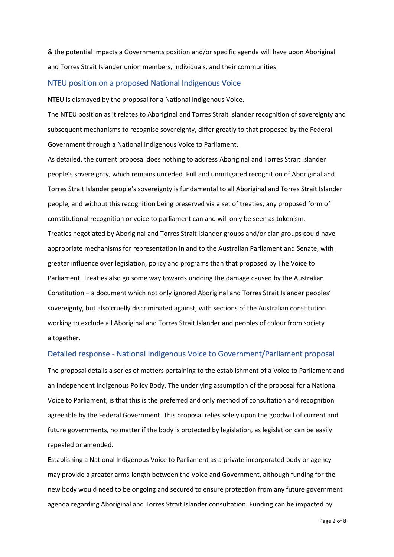& the potential impacts a Governments position and/or specific agenda will have upon Aboriginal and Torres Strait Islander union members, individuals, and their communities.

## NTEU position on a proposed National Indigenous Voice

NTEU is dismayed by the proposal for a National Indigenous Voice.

The NTEU position as it relates to Aboriginal and Torres Strait Islander recognition of sovereignty and subsequent mechanisms to recognise sovereignty, differ greatly to that proposed by the Federal Government through a National Indigenous Voice to Parliament.

As detailed, the current proposal does nothing to address Aboriginal and Torres Strait Islander people's sovereignty, which remains unceded. Full and unmitigated recognition of Aboriginal and Torres Strait Islander people's sovereignty is fundamental to all Aboriginal and Torres Strait Islander people, and without this recognition being preserved via a set of treaties, any proposed form of constitutional recognition or voice to parliament can and will only be seen as tokenism. Treaties negotiated by Aboriginal and Torres Strait Islander groups and/or clan groups could have appropriate mechanisms for representation in and to the Australian Parliament and Senate, with greater influence over legislation, policy and programs than that proposed by The Voice to Parliament. Treaties also go some way towards undoing the damage caused by the Australian Constitution – a document which not only ignored Aboriginal and Torres Strait Islander peoples' sovereignty, but also cruelly discriminated against, with sections of the Australian constitution working to exclude all Aboriginal and Torres Strait Islander and peoples of colour from society altogether.

## Detailed response - National Indigenous Voice to Government/Parliament proposal

The proposal details a series of matters pertaining to the establishment of a Voice to Parliament and an Independent Indigenous Policy Body. The underlying assumption of the proposal for a National Voice to Parliament, is that this is the preferred and only method of consultation and recognition agreeable by the Federal Government. This proposal relies solely upon the goodwill of current and future governments, no matter if the body is protected by legislation, as legislation can be easily repealed or amended.

Establishing a National Indigenous Voice to Parliament as a private incorporated body or agency may provide a greater arms-length between the Voice and Government, although funding for the new body would need to be ongoing and secured to ensure protection from any future government agenda regarding Aboriginal and Torres Strait Islander consultation. Funding can be impacted by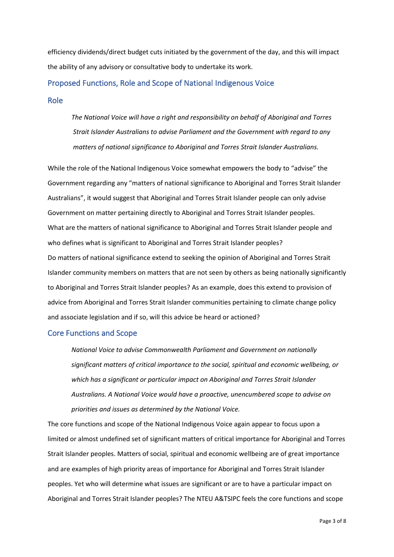efficiency dividends/direct budget cuts initiated by the government of the day, and this will impact the ability of any advisory or consultative body to undertake its work.

# Proposed Functions, Role and Scope of National Indigenous Voice

Role

*The National Voice will have a right and responsibility on behalf of Aboriginal and Torres Strait Islander Australians to advise Parliament and the Government with regard to any matters of national significance to Aboriginal and Torres Strait Islander Australians.*

While the role of the National Indigenous Voice somewhat empowers the body to "advise" the Government regarding any "matters of national significance to Aboriginal and Torres Strait Islander Australians", it would suggest that Aboriginal and Torres Strait Islander people can only advise Government on matter pertaining directly to Aboriginal and Torres Strait Islander peoples. What are the matters of national significance to Aboriginal and Torres Strait Islander people and who defines what is significant to Aboriginal and Torres Strait Islander peoples? Do matters of national significance extend to seeking the opinion of Aboriginal and Torres Strait Islander community members on matters that are not seen by others as being nationally significantly to Aboriginal and Torres Strait Islander peoples? As an example, does this extend to provision of advice from Aboriginal and Torres Strait Islander communities pertaining to climate change policy and associate legislation and if so, will this advice be heard or actioned?

# Core Functions and Scope

*National Voice to advise Commonwealth Parliament and Government on nationally significant matters of critical importance to the social, spiritual and economic wellbeing, or which has a significant or particular impact on Aboriginal and Torres Strait Islander Australians. A National Voice would have a proactive, unencumbered scope to advise on priorities and issues as determined by the National Voice.*

The core functions and scope of the National Indigenous Voice again appear to focus upon a limited or almost undefined set of significant matters of critical importance for Aboriginal and Torres Strait Islander peoples. Matters of social, spiritual and economic wellbeing are of great importance and are examples of high priority areas of importance for Aboriginal and Torres Strait Islander peoples. Yet who will determine what issues are significant or are to have a particular impact on Aboriginal and Torres Strait Islander peoples? The NTEU A&TSIPC feels the core functions and scope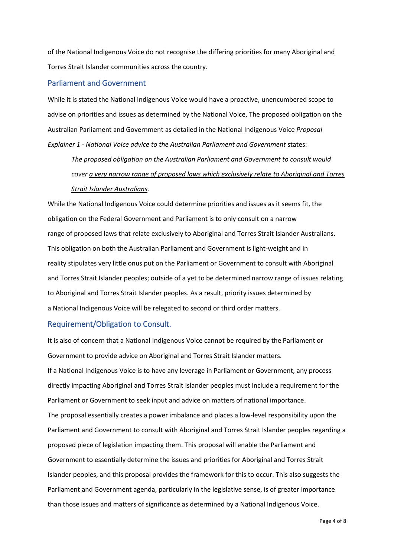of the National Indigenous Voice do not recognise the differing priorities for many Aboriginal and Torres Strait Islander communities across the country.

#### Parliament and Government

While it is stated the National Indigenous Voice would have a proactive, unencumbered scope to advise on priorities and issues as determined by the National Voice, The proposed obligation on the Australian Parliament and Government as detailed in the National Indigenous Voice *Proposal Explainer 1 - National Voice advice to the Australian Parliament and Government* states:

*The proposed obligation on the Australian Parliament and Government to consult would cover a very narrow range of proposed laws which exclusively relate to Aboriginal and Torres Strait Islander Australians.*

While the National Indigenous Voice could determine priorities and issues as it seems fit, the obligation on the Federal Government and Parliament is to only consult on a narrow range of proposed laws that relate exclusively to Aboriginal and Torres Strait Islander Australians. This obligation on both the Australian Parliament and Government is light-weight and in reality stipulates very little onus put on the Parliament or Government to consult with Aboriginal and Torres Strait Islander peoples; outside of a yet to be determined narrow range of issues relating to Aboriginal and Torres Strait Islander peoples. As a result, priority issues determined by a National Indigenous Voice will be relegated to second or third order matters.

# Requirement/Obligation to Consult.

It is also of concern that a National Indigenous Voice cannot be required by the Parliament or Government to provide advice on Aboriginal and Torres Strait Islander matters.

If a National Indigenous Voice is to have any leverage in Parliament or Government, any process directly impacting Aboriginal and Torres Strait Islander peoples must include a requirement for the Parliament or Government to seek input and advice on matters of national importance. The proposal essentially creates a power imbalance and places a low-level responsibility upon the Parliament and Government to consult with Aboriginal and Torres Strait Islander peoples regarding a proposed piece of legislation impacting them. This proposal will enable the Parliament and Government to essentially determine the issues and priorities for Aboriginal and Torres Strait Islander peoples, and this proposal provides the framework for this to occur. This also suggests the Parliament and Government agenda, particularly in the legislative sense, is of greater importance than those issues and matters of significance as determined by a National Indigenous Voice.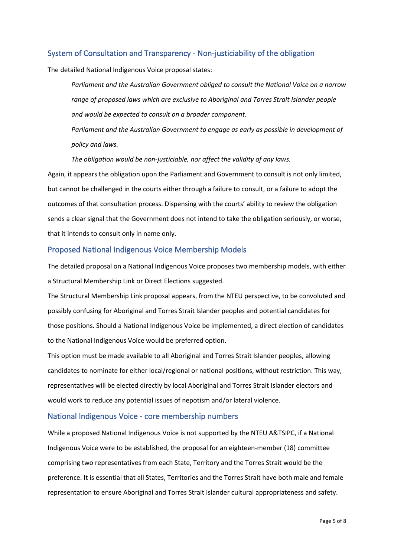# System of Consultation and Transparency - Non-justiciability of the obligation

The detailed National Indigenous Voice proposal states:

*Parliament and the Australian Government obliged to consult the National Voice on a narrow range of proposed laws which are exclusive to Aboriginal and Torres Strait Islander people and would be expected to consult on a broader component.* 

*Parliament and the Australian Government to engage as early as possible in development of policy and laws.* 

*The obligation would be non-justiciable, nor affect the validity of any laws.*

Again, it appears the obligation upon the Parliament and Government to consult is not only limited, but cannot be challenged in the courts either through a failure to consult, or a failure to adopt the outcomes of that consultation process. Dispensing with the courts' ability to review the obligation sends a clear signal that the Government does not intend to take the obligation seriously, or worse, that it intends to consult only in name only.

# Proposed National Indigenous Voice Membership Models

The detailed proposal on a National Indigenous Voice proposes two membership models, with either a Structural Membership Link or Direct Elections suggested.

The Structural Membership Link proposal appears, from the NTEU perspective, to be convoluted and possibly confusing for Aboriginal and Torres Strait Islander peoples and potential candidates for those positions. Should a National Indigenous Voice be implemented, a direct election of candidates to the National Indigenous Voice would be preferred option.

This option must be made available to all Aboriginal and Torres Strait Islander peoples, allowing candidates to nominate for either local/regional or national positions, without restriction. This way, representatives will be elected directly by local Aboriginal and Torres Strait Islander electors and would work to reduce any potential issues of nepotism and/or lateral violence.

# National Indigenous Voice - core membership numbers

While a proposed National Indigenous Voice is not supported by the NTEU A&TSIPC, if a National Indigenous Voice were to be established, the proposal for an eighteen-member (18) committee comprising two representatives from each State, Territory and the Torres Strait would be the preference. It is essential that all States, Territories and the Torres Strait have both male and female representation to ensure Aboriginal and Torres Strait Islander cultural appropriateness and safety.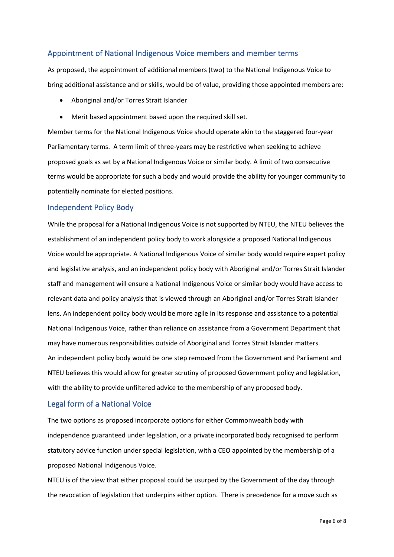# Appointment of National Indigenous Voice members and member terms

As proposed, the appointment of additional members (two) to the National Indigenous Voice to bring additional assistance and or skills, would be of value, providing those appointed members are:

- Aboriginal and/or Torres Strait Islander
- Merit based appointment based upon the required skill set.

Member terms for the National Indigenous Voice should operate akin to the staggered four-year Parliamentary terms. A term limit of three-years may be restrictive when seeking to achieve proposed goals as set by a National Indigenous Voice or similar body. A limit of two consecutive terms would be appropriate for such a body and would provide the ability for younger community to potentially nominate for elected positions.

## Independent Policy Body

While the proposal for a National Indigenous Voice is not supported by NTEU, the NTEU believes the establishment of an independent policy body to work alongside a proposed National Indigenous Voice would be appropriate. A National Indigenous Voice of similar body would require expert policy and legislative analysis, and an independent policy body with Aboriginal and/or Torres Strait Islander staff and management will ensure a National Indigenous Voice or similar body would have access to relevant data and policy analysis that is viewed through an Aboriginal and/or Torres Strait Islander lens. An independent policy body would be more agile in its response and assistance to a potential National Indigenous Voice, rather than reliance on assistance from a Government Department that may have numerous responsibilities outside of Aboriginal and Torres Strait Islander matters. An independent policy body would be one step removed from the Government and Parliament and NTEU believes this would allow for greater scrutiny of proposed Government policy and legislation, with the ability to provide unfiltered advice to the membership of any proposed body.

### Legal form of a National Voice

The two options as proposed incorporate options for either Commonwealth body with independence guaranteed under legislation, or a private incorporated body recognised to perform statutory advice function under special legislation, with a CEO appointed by the membership of a proposed National Indigenous Voice.

NTEU is of the view that either proposal could be usurped by the Government of the day through the revocation of legislation that underpins either option. There is precedence for a move such as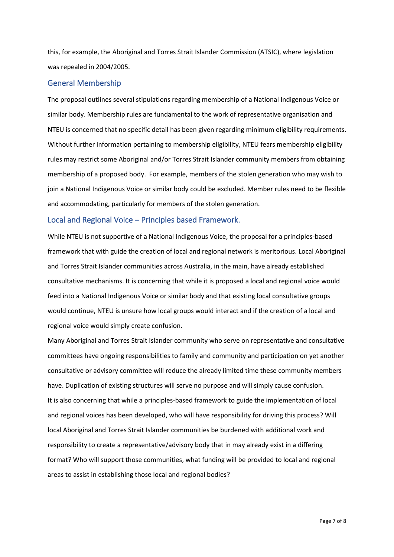this, for example, the Aboriginal and Torres Strait Islander Commission (ATSIC), where legislation was repealed in 2004/2005.

## General Membership

The proposal outlines several stipulations regarding membership of a National Indigenous Voice or similar body. Membership rules are fundamental to the work of representative organisation and NTEU is concerned that no specific detail has been given regarding minimum eligibility requirements. Without further information pertaining to membership eligibility, NTEU fears membership eligibility rules may restrict some Aboriginal and/or Torres Strait Islander community members from obtaining membership of a proposed body. For example, members of the stolen generation who may wish to join a National Indigenous Voice or similar body could be excluded. Member rules need to be flexible and accommodating, particularly for members of the stolen generation.

#### Local and Regional Voice – Principles based Framework.

While NTEU is not supportive of a National Indigenous Voice, the proposal for a principles-based framework that with guide the creation of local and regional network is meritorious. Local Aboriginal and Torres Strait Islander communities across Australia, in the main, have already established consultative mechanisms. It is concerning that while it is proposed a local and regional voice would feed into a National Indigenous Voice or similar body and that existing local consultative groups would continue, NTEU is unsure how local groups would interact and if the creation of a local and regional voice would simply create confusion.

Many Aboriginal and Torres Strait Islander community who serve on representative and consultative committees have ongoing responsibilities to family and community and participation on yet another consultative or advisory committee will reduce the already limited time these community members have. Duplication of existing structures will serve no purpose and will simply cause confusion. It is also concerning that while a principles-based framework to guide the implementation of local and regional voices has been developed, who will have responsibility for driving this process? Will local Aboriginal and Torres Strait Islander communities be burdened with additional work and responsibility to create a representative/advisory body that in may already exist in a differing format? Who will support those communities, what funding will be provided to local and regional areas to assist in establishing those local and regional bodies?